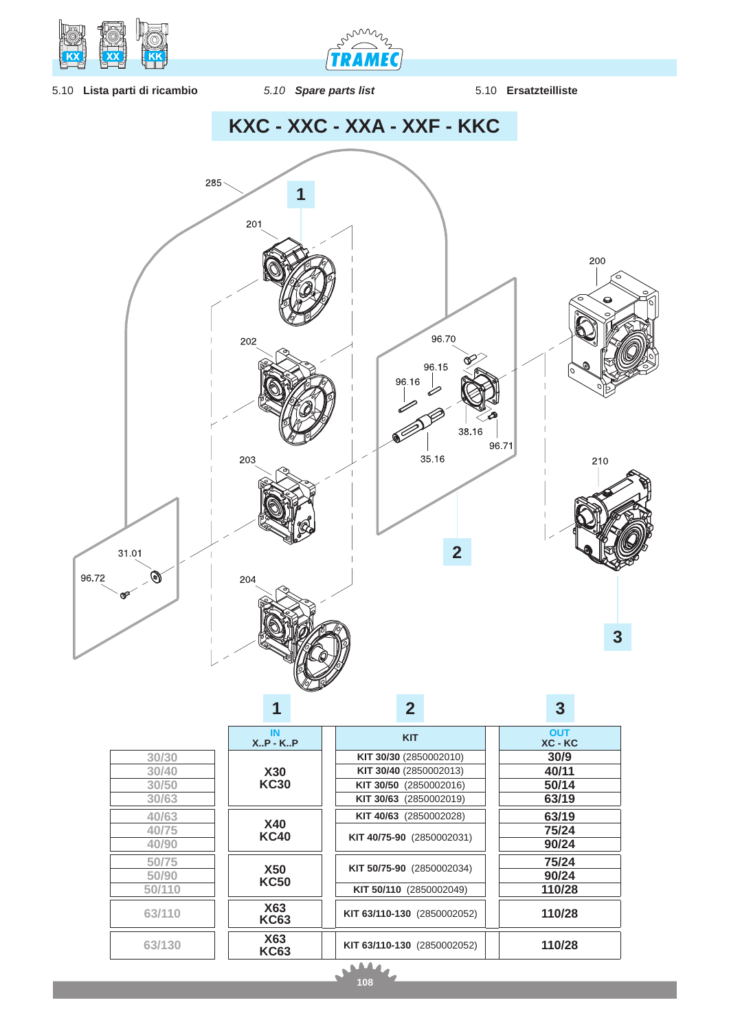

min **TRAMEC** 

- 5.10 **Lista parti di ricambio** *5.10 Spare parts list* 5.10 **Ersatzteilliste**
	-
- 



d

Ń